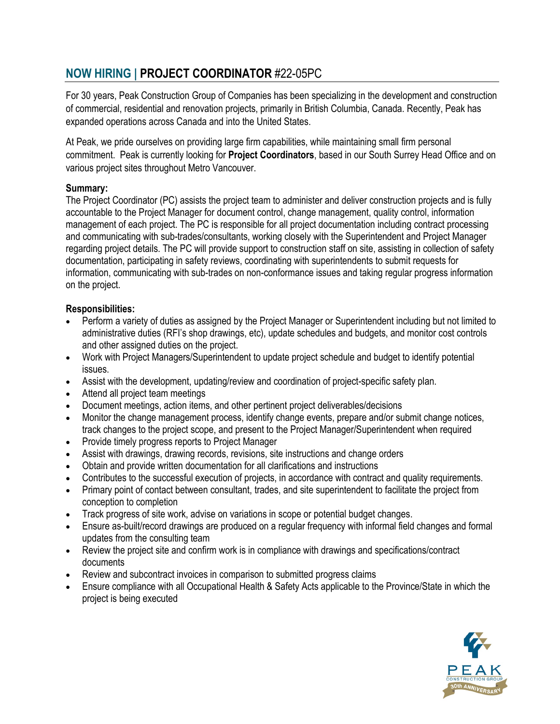## **NOW HIRING | PROJECT COORDINATOR** #22-05PC

For 30 years, Peak Construction Group of Companies has been specializing in the development and construction of commercial, residential and renovation projects, primarily in British Columbia, Canada. Recently, Peak has expanded operations across Canada and into the United States.

At Peak, we pride ourselves on providing large firm capabilities, while maintaining small firm personal commitment. Peak is currently looking for **Project Coordinators**, based in our South Surrey Head Office and on various project sites throughout Metro Vancouver.

## **Summary:**

The Project Coordinator (PC) assists the project team to administer and deliver construction projects and is fully accountable to the Project Manager for document control, change management, quality control, information management of each project. The PC is responsible for all project documentation including contract processing and communicating with sub-trades/consultants, working closely with the Superintendent and Project Manager regarding project details. The PC will provide support to construction staff on site, assisting in collection of safety documentation, participating in safety reviews, coordinating with superintendents to submit requests for information, communicating with sub-trades on non-conformance issues and taking regular progress information on the project.

## **Responsibilities:**

- Perform a variety of duties as assigned by the Project Manager or Superintendent including but not limited to administrative duties (RFI's shop drawings, etc), update schedules and budgets, and monitor cost controls and other assigned duties on the project.
- Work with Project Managers/Superintendent to update project schedule and budget to identify potential issues.
- Assist with the development, updating/review and coordination of project-specific safety plan.
- Attend all project team meetings
- Document meetings, action items, and other pertinent project deliverables/decisions
- Monitor the change management process, identify change events, prepare and/or submit change notices, track changes to the project scope, and present to the Project Manager/Superintendent when required
- Provide timely progress reports to Project Manager
- Assist with drawings, drawing records, revisions, site instructions and change orders
- Obtain and provide written documentation for all clarifications and instructions
- Contributes to the successful execution of projects, in accordance with contract and quality requirements.
- Primary point of contact between consultant, trades, and site superintendent to facilitate the project from conception to completion
- Track progress of site work, advise on variations in scope or potential budget changes.
- Ensure as-built/record drawings are produced on a regular frequency with informal field changes and formal updates from the consulting team
- Review the project site and confirm work is in compliance with drawings and specifications/contract documents
- Review and subcontract invoices in comparison to submitted progress claims
- Ensure compliance with all Occupational Health & Safety Acts applicable to the Province/State in which the project is being executed